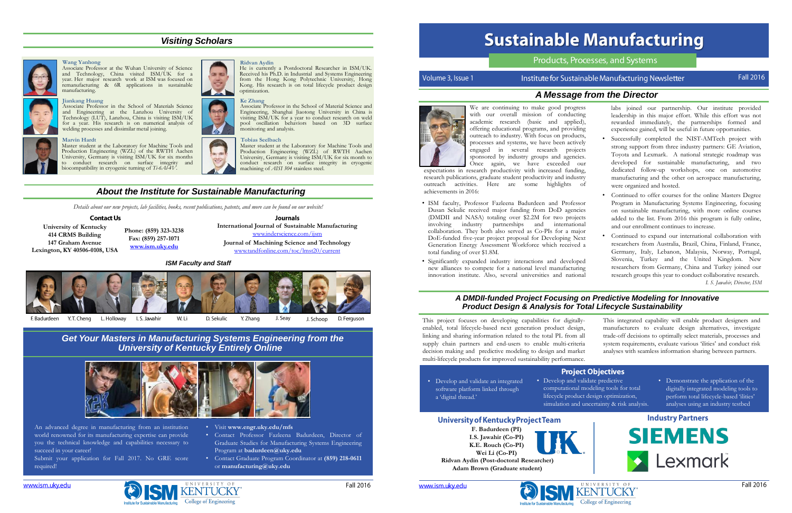# *A Message from the Director*



We are continuing to make good progress with our overall mission of conductir academic research (basic and applied offering educational programs, and providing outreach to industry. With focus on products, processes and systems, we have been actively engaged in several research project sponsored by industry groups and agencie Once again, we have exceeded ou

Journals **International Journal of Sustainable Manufacturing** [www.inderscience.com/ijsm](http://www.inderscience.com/ijsm)

**Journal of Machining Science and Technology** [www.tandfonline.com/toc/lmst20/current](http://www.tandfonline.com/toc/lmst20/current)

**University of Kentucky 414 CRMS Building 147 Graham Avenue Lexington, KY 40506-0108, USA**

**Phone: (859) 323-3238 Fax: (859) 257-1071 [www.ism.uky.edu](http://www.ism.uky.edu/)**

# *About the Institute for Sustainable Manufacturing*

This project focuses on developing capabilities for digitallyenabled, total lifecycle-based next generation product design, linking and sharing information related to the total PL from all supply chain partners and end-users to enable multi-criteria decision making and predictive modeling to design and marke multi-lifecycle products for improved sustainability performance.

Submit your application for Fall 2017. No GRE score required!

| r., | This integrated capability will enable product designers and     |
|-----|------------------------------------------------------------------|
| ı,  | manufacturers to evaluate design alternatives, investigate       |
| 11  | trade-off decisions to optimally select materials, processes and |
| а   | system requirements, evaluate various 'ilities' and conduct risk |
| et. | analyses with seamless information sharing between partners.     |
| ₿.  |                                                                  |
|     |                                                                  |

### **Project Objectives**

• Develop and validate predictive computational modeling tools for total lifecycle product design optimization, simulation and uncertainty & risk analysis.

- Develop and validate an integrated software platform linked through a 'digital thread.'
- 

## University of Kentucky Project Team

**F. Badurdeen (PI) I.S. Jawahir (Co-PI) K.E. Rouch (Co-PI) Wei Li (Co-PI)**



**Ridvan Aydin (Post-doctoral Researcher) Adam Brown (Graduate student)**







# **Sustainable Manufacturing**

# Products, Processes, and Systems

# *A DMDII-funded Project Focusing on Predictive Modeling for Innovative Product Design & Analysis for Total Lifecycle Sustainability*

# *Get Your Masters in Manufacturing Systems Engineering from the University of Kentucky Entirely Online*



An advanced degree in manufacturing from an institution world renowned for its manufacturing expertise can provide you the technical knowledge and capabilities necessary to succeed in your career!

- Visit **www.engr.uky.edu/mfs**
- Contact Professor Fazleena Badurdeen, Director of Graduate Studies for Manufacturing Systems Engineering Program at **badurdeen@uky.edu**
- Contact Graduate Program Coordinator at **(859) 218-0611** or **manufacturing@uky.edu**

Volume 3, Issue 1

# Institute for Sustainable Manufacturing Newsletter

- ISM faculty, Professor Fazleena Badurdeen and Professor Dusan Sekulic received major funding from DoD agencie (DMDII and NASA) totaling over \$2.2M for two project involving industry partnerships and international collaboration. They both also served as Co-PIs for a major DoE-funded five-year project proposal for Developing Next Generation Energy Assessment Workforce which received total funding of over \$1.8M.
- Significantly expanded industry interactions and develope new alliances to compete for a national level manufacturing innovation institute. Also, several universities and national

• Demonstrate the application of the digitally integrated modeling tools to perform total lifecycle-based 'ilities' analyses using an industry testbed

### **Industry Partners**



expectations in research productivity with increased funding, research publications, graduate student productivity and industry outreach activities. Here are some highlights of achievements in 2016:

| $\overline{\text{s}}$<br>ιg<br>),<br>ιg      | labs joined our partnership. Our institute provided<br>leadership in this major effort. While this effort was not<br>rewarded immediately, the partnerships formed and<br>experience gained, will be useful in future opportunities.                                                                                                                                      |
|----------------------------------------------|---------------------------------------------------------------------------------------------------------------------------------------------------------------------------------------------------------------------------------------------------------------------------------------------------------------------------------------------------------------------------|
| s,<br>ly<br>ts<br>S.<br>ır<br>g,<br>ry<br>эf | Successfully completed the NIST-AMTech project with<br>strong support from three industry partners: GE Aviation,<br>Toyota and Lexmark. A national strategic roadmap was<br>developed for sustainable manufacturing, and two<br>dedicated follow-up workshops, one on automotive<br>manufacturing and the other on aerospace manufacturing,<br>were organized and hosted. |
| οr<br>5s<br>ts<br>al                         | Continued to offer courses for the online Masters Degree<br>Program in Manufacturing Systems Engineering, focusing<br>on sustainable manufacturing, with more online courses<br>added to the list. From 2016 this program is fully online,<br>and our enrollment continues to increase.                                                                                   |
| οr<br>κt<br>a                                | Continued to expand our international collaboration with<br>researchers from Australia, Brazil, China, Finland, France,<br>Germany, Italy, Lebanon, Malaysia, Norway, Portugal,                                                                                                                                                                                           |
| ٠d<br>ιg<br>al                               | Slovenia, Turkey and the United Kingdom. New<br>researchers from Germany, China and Turkey joined our<br>research groups this year to conduct collaborative research.<br>I. S. Jawahir, Director, ISM                                                                                                                                                                     |

# *Visiting Scholars*

#### **Marvin Hardt**



Master student at the Laboratory for Machine Tools and Production Engineering (WZL) of the RWTH Aachen University, Germany is visiting ISM/UK for six months to conduct research on surface integrity and biocompatibility in cryogenic turning of *Ti-6Al-4V*.



#### **Tobias Seelbach**



Master student at the Laboratory for Machine Tools and Production Engineering (WZL) of RWTH Aachen University, Germany is visiting ISM/UK for six month to conduct research on surface integrity in cryogenic machining of *AISI 304* stainless steel.

#### **Wang Yanhong**

Associate Professor at the Wuhan University of Science and Technology, China visited ISM/UK for a year. Her major research work at ISM was focused on remanufacturing & 6R applications in sustainable manufacturing.



**Ridvan Aydin**

He is currently a Postdoctoral Researcher in ISM/UK. Received his Ph.D. in Industrial and Systems Engineering

#### from the Hong Kong Polytechnic University, Hong Kong. His research is on total lifecycle product design optimization. **Ke Zhang**

**Jiankang Huang** Associate Professor in the School of Materials Science and Engineering at the Lanzhou University of Technology (LUT), Lanzhou, China is visiting ISM/UK for a year. His research is on numerical analysis of welding processes and dissimilar metal joining.

Associate Professor in the School of Material Science and Engineering, Shanghai Jiaotong University in China is visiting ISM/UK for a year to conduct research on weld pool oscillation behaviors based on 3D surface monitoring and analysis.





*Details about our new projects, lab facilities, books, recent publications, patents, and more can be found on our website!*

### **Contact Us**